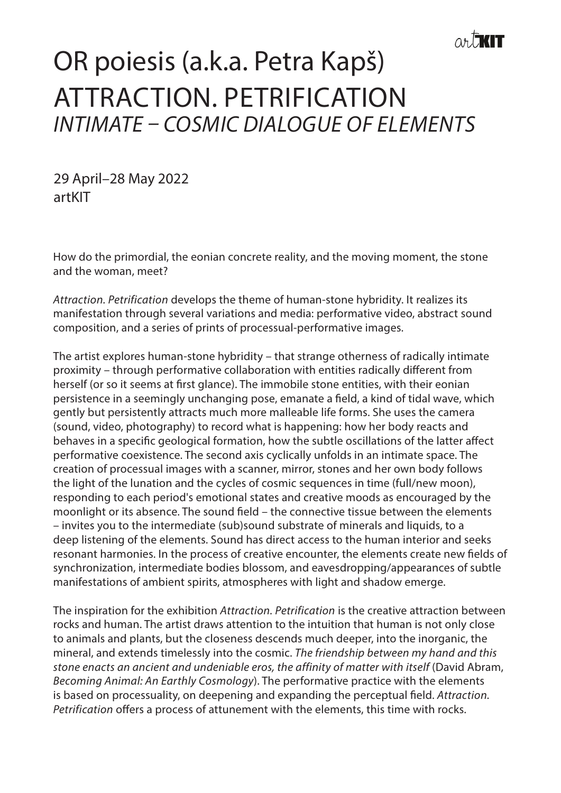## OR poiesis (a.k.a. Petra Kapš) ATTRACTION. PETRIFICATION *INTIMATE – COSMIC DIALOGUE OF ELEMENTS*  $\overline{\phantom{a}}$

29 April–28 May 2022 artKIT

How do the primordial, the eonian concrete reality, and the moving moment, the stone and the woman, meet?

*Attraction. Petrification* develops the theme of human-stone hybridity. It realizes its manifestation through several variations and media: performative video, abstract sound composition, and a series of prints of processual-performative images.

The artist explores human-stone hybridity – that strange otherness of radically intimate proximity – through performative collaboration with entities radically different from herself (or so it seems at first glance). The immobile stone entities, with their eonian persistence in a seemingly unchanging pose, emanate a field, a kind of tidal wave, which gently but persistently attracts much more malleable life forms. She uses the camera (sound, video, photography) to record what is happening: how her body reacts and behaves in a specific geological formation, how the subtle oscillations of the latter affect performative coexistence. The second axis cyclically unfolds in an intimate space. The creation of processual images with a scanner, mirror, stones and her own body follows the light of the lunation and the cycles of cosmic sequences in time (full/new moon), responding to each period's emotional states and creative moods as encouraged by the moonlight or its absence. The sound field – the connective tissue between the elements – invites you to the intermediate (sub)sound substrate of minerals and liquids, to a deep listening of the elements. Sound has direct access to the human interior and seeks resonant harmonies. In the process of creative encounter, the elements create new fields of synchronization, intermediate bodies blossom, and eavesdropping/appearances of subtle manifestations of ambient spirits, atmospheres with light and shadow emerge.

The inspiration for the exhibition *Attraction. Petrification* is the creative attraction between rocks and human. The artist draws attention to the intuition that human is not only close to animals and plants, but the closeness descends much deeper, into the inorganic, the mineral, and extends timelessly into the cosmic. *The friendship between my hand and this stone enacts an ancient and undeniable eros, the affinity of matter with itself* (David Abram, *Becoming Animal: An Earthly Cosmology*). The performative practice with the elements is based on processuality, on deepening and expanding the perceptual field. *Attraction. Petrification* offers a process of attunement with the elements, this time with rocks.